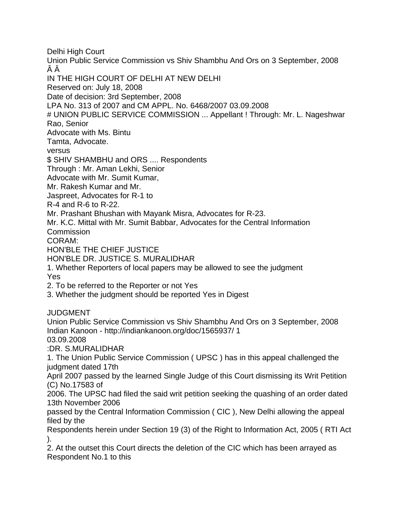Delhi High Court Union Public Service Commission vs Shiv Shambhu And Ors on 3 September, 2008 ÂÂ IN THE HIGH COURT OF DELHI AT NEW DELHI Reserved on: July 18, 2008 Date of decision: 3rd September, 2008 LPA No. 313 of 2007 and CM APPL. No. 6468/2007 03.09.2008 # UNION PUBLIC SERVICE COMMISSION ... Appellant ! Through: Mr. L. Nageshwar Rao, Senior Advocate with Ms. Bintu Tamta, Advocate. versus \$ SHIV SHAMBHU and ORS .... Respondents Through : Mr. Aman Lekhi, Senior Advocate with Mr. Sumit Kumar, Mr. Rakesh Kumar and Mr. Jaspreet, Advocates for R-1 to R-4 and R-6 to R-22. Mr. Prashant Bhushan with Mayank Misra, Advocates for R-23. Mr. K.C. Mittal with Mr. Sumit Babbar, Advocates for the Central Information **Commission** CORAM: HON'BLE THE CHIEF JUSTICE HON'BLE DR. JUSTICE S. MURALIDHAR 1. Whether Reporters of local papers may be allowed to see the judgment Yes 2. To be referred to the Reporter or not Yes 3. Whether the judgment should be reported Yes in Digest JUDGMENT Union Public Service Commission vs Shiv Shambhu And Ors on 3 September, 2008 Indian Kanoon - http://indiankanoon.org/doc/1565937/ 1 03.09.2008 :DR. S.MURALIDHAR 1. The Union Public Service Commission ( UPSC ) has in this appeal challenged the judgment dated 17th April 2007 passed by the learned Single Judge of this Court dismissing its Writ Petition (C) No.17583 of 2006. The UPSC had filed the said writ petition seeking the quashing of an order dated 13th November 2006 passed by the Central Information Commission ( CIC ), New Delhi allowing the appeal filed by the Respondents herein under Section 19 (3) of the Right to Information Act, 2005 ( RTI Act ). 2. At the outset this Court directs the deletion of the CIC which has been arrayed as Respondent No.1 to this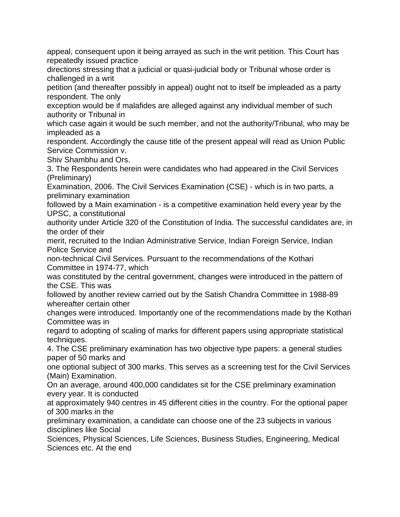appeal, consequent upon it being arrayed as such in the writ petition. This Court has repeatedly issued practice

directions stressing that a judicial or quasi-judicial body or Tribunal whose order is challenged in a writ

petition (and thereafter possibly in appeal) ought not to itself be impleaded as a party respondent. The only

exception would be if malafides are alleged against any individual member of such authority or Tribunal in

which case again it would be such member, and not the authority/Tribunal, who may be impleaded as a

respondent. Accordingly the cause title of the present appeal will read as Union Public Service Commission v.

Shiv Shambhu and Ors.

3. The Respondents herein were candidates who had appeared in the Civil Services (Preliminary)

Examination, 2006. The Civil Services Examination (CSE) - which is in two parts, a preliminary examination

followed by a Main examination - is a competitive examination held every year by the UPSC, a constitutional

authority under Article 320 of the Constitution of India. The successful candidates are, in the order of their

merit, recruited to the Indian Administrative Service, Indian Foreign Service, Indian Police Service and

non-technical Civil Services. Pursuant to the recommendations of the Kothari Committee in 1974-77, which

was constituted by the central government, changes were introduced in the pattern of the CSE. This was

followed by another review carried out by the Satish Chandra Committee in 1988-89 whereafter certain other

changes were introduced. Importantly one of the recommendations made by the Kothari Committee was in

regard to adopting of scaling of marks for different papers using appropriate statistical techniques.

4. The CSE preliminary examination has two objective type papers: a general studies paper of 50 marks and

one optional subject of 300 marks. This serves as a screening test for the Civil Services (Main) Examination.

On an average, around 400,000 candidates sit for the CSE preliminary examination every year. It is conducted

at approximately 940 centres in 45 different cities in the country. For the optional paper of 300 marks in the

preliminary examination, a candidate can choose one of the 23 subjects in various disciplines like Social

Sciences, Physical Sciences, Life Sciences, Business Studies, Engineering, Medical Sciences etc. At the end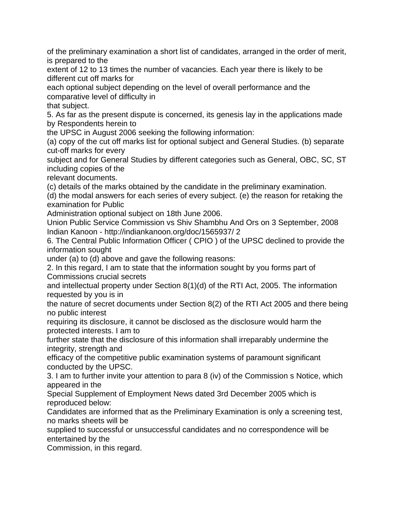of the preliminary examination a short list of candidates, arranged in the order of merit, is prepared to the

extent of 12 to 13 times the number of vacancies. Each year there is likely to be different cut off marks for

each optional subject depending on the level of overall performance and the comparative level of difficulty in

that subject.

5. As far as the present dispute is concerned, its genesis lay in the applications made by Respondents herein to

the UPSC in August 2006 seeking the following information:

(a) copy of the cut off marks list for optional subject and General Studies. (b) separate cut-off marks for every

subject and for General Studies by different categories such as General, OBC, SC, ST including copies of the

relevant documents.

(c) details of the marks obtained by the candidate in the preliminary examination.

(d) the modal answers for each series of every subject. (e) the reason for retaking the examination for Public

Administration optional subject on 18th June 2006.

Union Public Service Commission vs Shiv Shambhu And Ors on 3 September, 2008 Indian Kanoon - http://indiankanoon.org/doc/1565937/ 2

6. The Central Public Information Officer ( CPIO ) of the UPSC declined to provide the information sought

under (a) to (d) above and gave the following reasons:

2. In this regard, I am to state that the information sought by you forms part of Commissions crucial secrets

and intellectual property under Section 8(1)(d) of the RTI Act, 2005. The information requested by you is in

the nature of secret documents under Section 8(2) of the RTI Act 2005 and there being no public interest

requiring its disclosure, it cannot be disclosed as the disclosure would harm the protected interests. I am to

further state that the disclosure of this information shall irreparably undermine the integrity, strength and

efficacy of the competitive public examination systems of paramount significant conducted by the UPSC.

3. I am to further invite your attention to para 8 (iv) of the Commission s Notice, which appeared in the

Special Supplement of Employment News dated 3rd December 2005 which is reproduced below:

Candidates are informed that as the Preliminary Examination is only a screening test, no marks sheets will be

supplied to successful or unsuccessful candidates and no correspondence will be entertained by the

Commission, in this regard.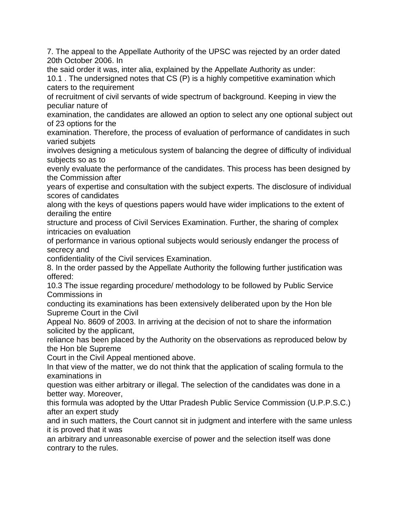7. The appeal to the Appellate Authority of the UPSC was rejected by an order dated 20th October 2006. In

the said order it was, inter alia, explained by the Appellate Authority as under:

10.1 . The undersigned notes that CS (P) is a highly competitive examination which caters to the requirement

of recruitment of civil servants of wide spectrum of background. Keeping in view the peculiar nature of

examination, the candidates are allowed an option to select any one optional subject out of 23 options for the

examination. Therefore, the process of evaluation of performance of candidates in such varied subjets

involves designing a meticulous system of balancing the degree of difficulty of individual subjects so as to

evenly evaluate the performance of the candidates. This process has been designed by the Commission after

years of expertise and consultation with the subject experts. The disclosure of individual scores of candidates

along with the keys of questions papers would have wider implications to the extent of derailing the entire

structure and process of Civil Services Examination. Further, the sharing of complex intricacies on evaluation

of performance in various optional subjects would seriously endanger the process of secrecy and

confidentiality of the Civil services Examination.

8. In the order passed by the Appellate Authority the following further justification was offered:

10.3 The issue regarding procedure/ methodology to be followed by Public Service Commissions in

conducting its examinations has been extensively deliberated upon by the Hon ble Supreme Court in the Civil

Appeal No. 8609 of 2003. In arriving at the decision of not to share the information solicited by the applicant,

reliance has been placed by the Authority on the observations as reproduced below by the Hon ble Supreme

Court in the Civil Appeal mentioned above.

In that view of the matter, we do not think that the application of scaling formula to the examinations in

question was either arbitrary or illegal. The selection of the candidates was done in a better way. Moreover,

this formula was adopted by the Uttar Pradesh Public Service Commission (U.P.P.S.C.) after an expert study

and in such matters, the Court cannot sit in judgment and interfere with the same unless it is proved that it was

an arbitrary and unreasonable exercise of power and the selection itself was done contrary to the rules.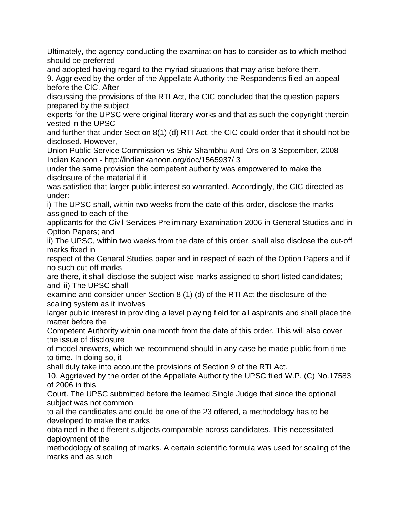Ultimately, the agency conducting the examination has to consider as to which method should be preferred

and adopted having regard to the myriad situations that may arise before them.

9. Aggrieved by the order of the Appellate Authority the Respondents filed an appeal before the CIC. After

discussing the provisions of the RTI Act, the CIC concluded that the question papers prepared by the subject

experts for the UPSC were original literary works and that as such the copyright therein vested in the UPSC

and further that under Section 8(1) (d) RTI Act, the CIC could order that it should not be disclosed. However,

Union Public Service Commission vs Shiv Shambhu And Ors on 3 September, 2008 Indian Kanoon - http://indiankanoon.org/doc/1565937/ 3

under the same provision the competent authority was empowered to make the disclosure of the material if it

was satisfied that larger public interest so warranted. Accordingly, the CIC directed as under:

i) The UPSC shall, within two weeks from the date of this order, disclose the marks assigned to each of the

applicants for the Civil Services Preliminary Examination 2006 in General Studies and in Option Papers; and

ii) The UPSC, within two weeks from the date of this order, shall also disclose the cut-off marks fixed in

respect of the General Studies paper and in respect of each of the Option Papers and if no such cut-off marks

are there, it shall disclose the subject-wise marks assigned to short-listed candidates; and iii) The UPSC shall

examine and consider under Section 8 (1) (d) of the RTI Act the disclosure of the scaling system as it involves

larger public interest in providing a level playing field for all aspirants and shall place the matter before the

Competent Authority within one month from the date of this order. This will also cover the issue of disclosure

of model answers, which we recommend should in any case be made public from time to time. In doing so, it

shall duly take into account the provisions of Section 9 of the RTI Act.

10. Aggrieved by the order of the Appellate Authority the UPSC filed W.P. (C) No.17583 of 2006 in this

Court. The UPSC submitted before the learned Single Judge that since the optional subject was not common

to all the candidates and could be one of the 23 offered, a methodology has to be developed to make the marks

obtained in the different subjects comparable across candidates. This necessitated deployment of the

methodology of scaling of marks. A certain scientific formula was used for scaling of the marks and as such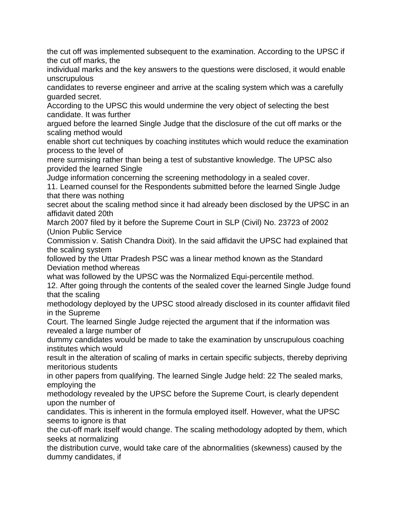the cut off was implemented subsequent to the examination. According to the UPSC if the cut off marks, the

individual marks and the key answers to the questions were disclosed, it would enable unscrupulous

candidates to reverse engineer and arrive at the scaling system which was a carefully guarded secret.

According to the UPSC this would undermine the very object of selecting the best candidate. It was further

argued before the learned Single Judge that the disclosure of the cut off marks or the scaling method would

enable short cut techniques by coaching institutes which would reduce the examination process to the level of

mere surmising rather than being a test of substantive knowledge. The UPSC also provided the learned Single

Judge information concerning the screening methodology in a sealed cover.

11. Learned counsel for the Respondents submitted before the learned Single Judge that there was nothing

secret about the scaling method since it had already been disclosed by the UPSC in an affidavit dated 20th

March 2007 filed by it before the Supreme Court in SLP (Civil) No. 23723 of 2002 (Union Public Service

Commission v. Satish Chandra Dixit). In the said affidavit the UPSC had explained that the scaling system

followed by the Uttar Pradesh PSC was a linear method known as the Standard Deviation method whereas

what was followed by the UPSC was the Normalized Equi-percentile method.

12. After going through the contents of the sealed cover the learned Single Judge found that the scaling

methodology deployed by the UPSC stood already disclosed in its counter affidavit filed in the Supreme

Court. The learned Single Judge rejected the argument that if the information was revealed a large number of

dummy candidates would be made to take the examination by unscrupulous coaching institutes which would

result in the alteration of scaling of marks in certain specific subjects, thereby depriving meritorious students

in other papers from qualifying. The learned Single Judge held: 22 The sealed marks, employing the

methodology revealed by the UPSC before the Supreme Court, is clearly dependent upon the number of

candidates. This is inherent in the formula employed itself. However, what the UPSC seems to ignore is that

the cut-off mark itself would change. The scaling methodology adopted by them, which seeks at normalizing

the distribution curve, would take care of the abnormalities (skewness) caused by the dummy candidates, if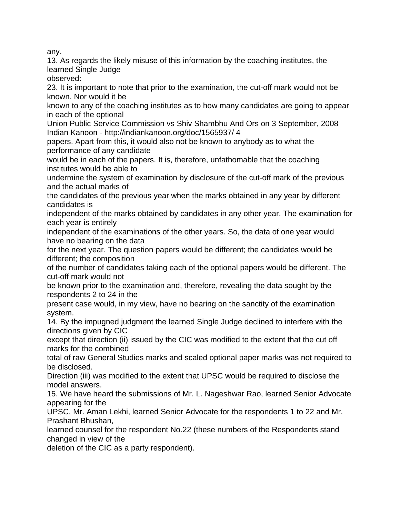any.

13. As regards the likely misuse of this information by the coaching institutes, the learned Single Judge

observed:

23. It is important to note that prior to the examination, the cut-off mark would not be known. Nor would it be

known to any of the coaching institutes as to how many candidates are going to appear in each of the optional

Union Public Service Commission vs Shiv Shambhu And Ors on 3 September, 2008 Indian Kanoon - http://indiankanoon.org/doc/1565937/ 4

papers. Apart from this, it would also not be known to anybody as to what the performance of any candidate

would be in each of the papers. It is, therefore, unfathomable that the coaching institutes would be able to

undermine the system of examination by disclosure of the cut-off mark of the previous and the actual marks of

the candidates of the previous year when the marks obtained in any year by different candidates is

independent of the marks obtained by candidates in any other year. The examination for each year is entirely

independent of the examinations of the other years. So, the data of one year would have no bearing on the data

for the next year. The question papers would be different; the candidates would be different; the composition

of the number of candidates taking each of the optional papers would be different. The cut-off mark would not

be known prior to the examination and, therefore, revealing the data sought by the respondents 2 to 24 in the

present case would, in my view, have no bearing on the sanctity of the examination system.

14. By the impugned judgment the learned Single Judge declined to interfere with the directions given by CIC

except that direction (ii) issued by the CIC was modified to the extent that the cut off marks for the combined

total of raw General Studies marks and scaled optional paper marks was not required to be disclosed.

Direction (iii) was modified to the extent that UPSC would be required to disclose the model answers.

15. We have heard the submissions of Mr. L. Nageshwar Rao, learned Senior Advocate appearing for the

UPSC, Mr. Aman Lekhi, learned Senior Advocate for the respondents 1 to 22 and Mr. Prashant Bhushan,

learned counsel for the respondent No.22 (these numbers of the Respondents stand changed in view of the

deletion of the CIC as a party respondent).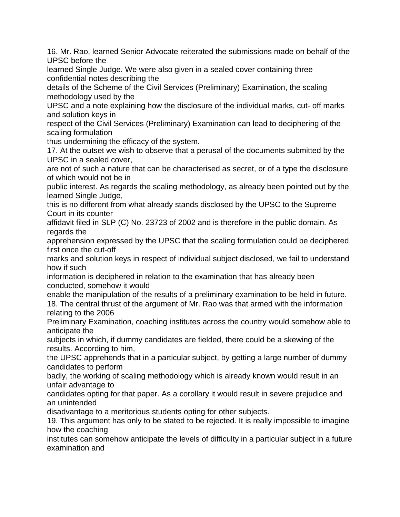16. Mr. Rao, learned Senior Advocate reiterated the submissions made on behalf of the UPSC before the

learned Single Judge. We were also given in a sealed cover containing three confidential notes describing the

details of the Scheme of the Civil Services (Preliminary) Examination, the scaling methodology used by the

UPSC and a note explaining how the disclosure of the individual marks, cut- off marks and solution keys in

respect of the Civil Services (Preliminary) Examination can lead to deciphering of the scaling formulation

thus undermining the efficacy of the system.

17. At the outset we wish to observe that a perusal of the documents submitted by the UPSC in a sealed cover,

are not of such a nature that can be characterised as secret, or of a type the disclosure of which would not be in

public interest. As regards the scaling methodology, as already been pointed out by the learned Single Judge,

this is no different from what already stands disclosed by the UPSC to the Supreme Court in its counter

affidavit filed in SLP (C) No. 23723 of 2002 and is therefore in the public domain. As regards the

apprehension expressed by the UPSC that the scaling formulation could be deciphered first once the cut-off

marks and solution keys in respect of individual subject disclosed, we fail to understand how if such

information is deciphered in relation to the examination that has already been conducted, somehow it would

enable the manipulation of the results of a preliminary examination to be held in future. 18. The central thrust of the argument of Mr. Rao was that armed with the information relating to the 2006

Preliminary Examination, coaching institutes across the country would somehow able to anticipate the

subjects in which, if dummy candidates are fielded, there could be a skewing of the results. According to him,

the UPSC apprehends that in a particular subject, by getting a large number of dummy candidates to perform

badly, the working of scaling methodology which is already known would result in an unfair advantage to

candidates opting for that paper. As a corollary it would result in severe prejudice and an unintended

disadvantage to a meritorious students opting for other subjects.

19. This argument has only to be stated to be rejected. It is really impossible to imagine how the coaching

institutes can somehow anticipate the levels of difficulty in a particular subject in a future examination and